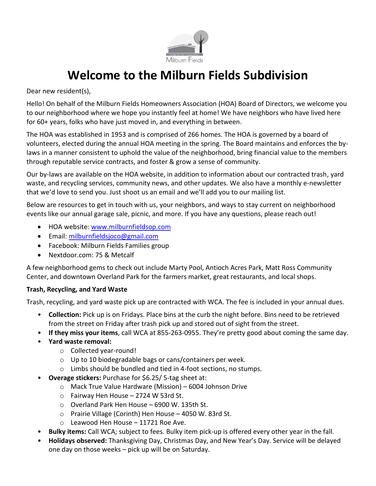

# **Welcome to the Milburn Fields Subdivision**

Dear new resident(s),

Hello! On behalf of the Milburn Fields Homeowners Association (HOA) Board of Directors, we welcome you to our neighborhood where we hope you instantly feel at home! We have neighbors who have lived here for 60+ years, folks who have just moved in, and everything in between.

The HOA was established in 1953 and is comprised of 266 homes. The HOA is governed by a board of volunteers, elected during the annual HOA meeting in the spring. The Board maintains and enforces the bylaws in a manner consistent to uphold the value of the neighborhood, bring financial value to the members through reputable service contracts, and foster & grow a sense of community.

Our by-laws are available on the HOA website, in addition to information about our contracted trash, yard waste, and recycling services, community news, and other updates. We also have a monthly e-newsletter that we'd love to send you. Just shoot us an email and we'll add you to our mailing list.

Below are resources to get in touch with us, your neighbors, and ways to stay current on neighborhood events like our annual garage sale, picnic, and more. If you have any questions, please reach out!

- HOA website: [www.milburnfieldsop.com](http://www.milburnfieldsop.com/)
- Email: [milburnfieldsjoco@gmail.com](mailto:milburnfieldsjoco@gmail.com)
- Facebook: Milburn Fields Families group
- Nextdoor.com: 75 & Metcalf

A few neighborhood gems to check out include Marty Pool, Antioch Acres Park, Matt Ross Community Center, and downtown Overland Park for the farmers market, great restaurants, and local shops.

## **Trash, Recycling, and Yard Waste**

Trash, recycling, and yard waste pick up are contracted with WCA. The fee is included in your annual dues.

- **Collection:** Pick up is on Fridays. Place bins at the curb the night before. Bins need to be retrieved from the street on Friday after trash pick up and stored out of sight from the street.
- **If they miss your items**, call WCA at 855-263-0955. They're pretty good about coming the same day.
- **Yard waste removal:**
	- o Collected year-round!
	- o Up to 10 biodegradable bags or cans/containers per week.
	- o Limbs should be bundled and tied in 4-foot sections, no stumps.
- **Overage stickers:** Purchase for \$6.25/ 5-tag sheet at:
	- o Mack True Value Hardware (Mission) 6004 Johnson Drive
	- o Fairway Hen House 2724 W 53rd St.
	- o Overland Park Hen House 6900 W. 135th St.
	- o Prairie Village (Corinth) Hen House 4050 W. 83rd St.
	- o Leawood Hen House 11721 Roe Ave.
- **Bulky items:** Call WCA; subject to fees. Bulky item pick-up is offered every other year in the fall.
- **Holidays observed:** Thanksgiving Day, Christmas Day, and New Year's Day. Service will be delayed one day on those weeks – pick up will be on Saturday.